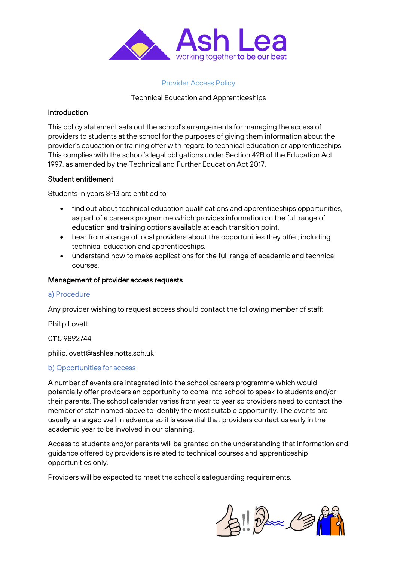

### Provider Access Policy

# Technical Education and Apprenticeships

### **Introduction**

This policy statement sets out the school's arrangements for managing the access of providers to students at the school for the purposes of giving them information about the provider's education or training offer with regard to technical education or apprenticeships. This complies with the school's legal obligations under Section 42B of the Education Act 1997, as amended by the Technical and Further Education Act 2017.

### Student entitlement

Students in years 8-13 are entitled to

- find out about technical education qualifications and apprenticeships opportunities, as part of a careers programme which provides information on the full range of education and training options available at each transition point.
- hear from a range of local providers about the opportunities they offer, including technical education and apprenticeships.
- understand how to make applications for the full range of academic and technical courses.

### Management of provider access requests

#### a) Procedure

Any provider wishing to request access should contact the following member of staff:

Philip Lovett

0115 9892744

philip.lovett@ashlea.notts.sch.uk

# b) Opportunities for access

A number of events are integrated into the school careers programme which would potentially offer providers an opportunity to come into school to speak to students and/or their parents. The school calendar varies from year to year so providers need to contact the member of staff named above to identify the most suitable opportunity. The events are usually arranged well in advance so it is essential that providers contact us early in the academic year to be involved in our planning.

Access to students and/or parents will be granted on the understanding that information and guidance offered by providers is related to technical courses and apprenticeship opportunities only.

Providers will be expected to meet the school's safeguarding requirements.